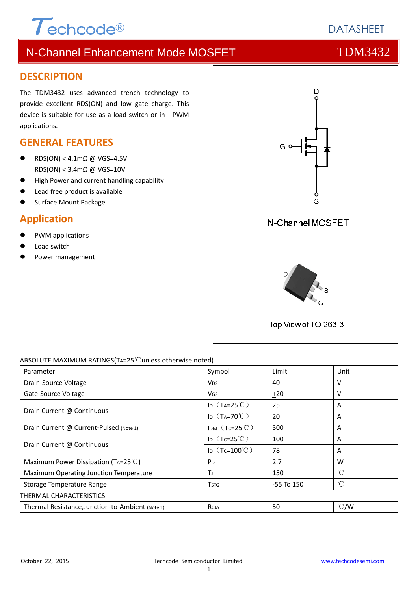# $\tau$ echcode®

## N-Channel Enhancement Mode MOSFET THE TDM3432

#### **DESCRIPTION**

The TDM3432 uses advanced trench technology to provide excellent RDS(ON) and low gate charge. This device is suitable for use as a load switch or in PWM applications.

#### **GENERAL FEATURES**

- RDS(ON) <  $4.1 \text{m}\Omega$  @ VGS=4.5V RDS(ON) < 3.4mΩ @ VGS=10V
- High Power and current handling capability
- Lead free product is available
- Surface Mount Package

#### **Application**

- PWM applications
- Load switch
- Power management



#### ABSOLUTE MAXIMUM RATINGS(TA=25℃unless otherwise noted)

| Parameter                                        | Symbol                        | Limit          | Unit          |  |  |  |
|--------------------------------------------------|-------------------------------|----------------|---------------|--|--|--|
| Drain-Source Voltage                             | <b>V<sub>DS</sub></b>         | 40             | v             |  |  |  |
| Gate-Source Voltage                              | <b>V<sub>GS</sub></b>         | $+20$          | v             |  |  |  |
|                                                  | ID $(T_A=25^{\circ}\text{C})$ | 25             | A             |  |  |  |
| Drain Current @ Continuous                       | ID $(T_A=70^{\circ}C)$        | 20             | A             |  |  |  |
| Drain Current @ Current-Pulsed (Note 1)          | IDM $(Tc=25^{\circ}C)$        | 300            | A             |  |  |  |
|                                                  | ID $(Tc=25^{\circ}C)$         | 100            | A             |  |  |  |
| Drain Current @ Continuous                       | ID $(Tc=100^{\circ}C)$        | 78             | A             |  |  |  |
| Maximum Power Dissipation (TA=25 $^{\circ}$ C)   | <b>P</b> <sub>D</sub>         | 2.7            | W             |  |  |  |
| Maximum Operating Junction Temperature           | ТJ                            | 150            | °C            |  |  |  |
| Storage Temperature Range                        | <b>T</b> <sub>STG</sub>       | $-55$ To $150$ | °C            |  |  |  |
| THERMAL CHARACTERISTICS                          |                               |                |               |  |  |  |
| Thermal Resistance, Junction-to-Ambient (Note 1) | Reja                          | 50             | $\degree$ C/W |  |  |  |

## **DATASHEFT**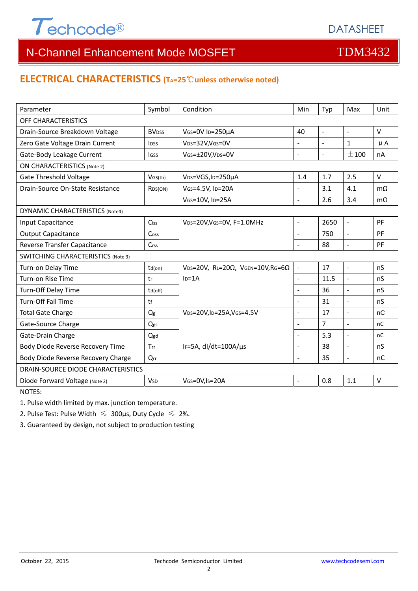

#### **ELECTRICAL CHARACTERISTICS (TA=25**℃**unless otherwise noted)**

| Parameter                                 | Symbol                  | Condition                                         | Min                      | Typ                      | Max                      | Unit      |  |  |  |
|-------------------------------------------|-------------------------|---------------------------------------------------|--------------------------|--------------------------|--------------------------|-----------|--|--|--|
| OFF CHARACTERISTICS                       |                         |                                                   |                          |                          |                          |           |  |  |  |
| Drain-Source Breakdown Voltage            | <b>BV<sub>DSS</sub></b> | VGS=0V ID=250µA                                   | 40                       | $\overline{\phantom{a}}$ | $\overline{\phantom{a}}$ | $\vee$    |  |  |  |
| Zero Gate Voltage Drain Current           | <b>l</b> <sub>pss</sub> | VDS=32V,VGS=0V                                    |                          |                          | $\mathbf{1}$             | $\mu$ A   |  |  |  |
| Gate-Body Leakage Current                 | <b>I</b> GSS            | VGS=±20V,VDS=0V                                   | $\overline{a}$           | $\sim$                   | ±100                     | nA        |  |  |  |
| <b>ON CHARACTERISTICS (Note 2)</b>        |                         |                                                   |                          |                          |                          |           |  |  |  |
| <b>Gate Threshold Voltage</b>             | VGS(th)                 | VDS=VGS, ID=250µA                                 | 1.4                      | 1.7                      | 2.5                      | $\vee$    |  |  |  |
| Drain-Source On-State Resistance          | R <sub>DS</sub> (ON)    | VGS=4.5V, ID=20A                                  | $\overline{a}$           | 3.1                      | 4.1                      | $m\Omega$ |  |  |  |
|                                           |                         | VGS=10V, ID=25A                                   | $\overline{a}$           | 2.6                      | 3.4                      | $m\Omega$ |  |  |  |
| <b>DYNAMIC CHARACTERISTICS (Note4)</b>    |                         |                                                   |                          |                          |                          |           |  |  |  |
| Input Capacitance                         | Ciss                    | VDS=20V, VGS=0V, F=1.0MHz                         | $\overline{\phantom{a}}$ | 2650                     | $\blacksquare$           | PF        |  |  |  |
| <b>Output Capacitance</b>                 | Coss                    |                                                   | $\overline{\phantom{a}}$ | 750                      | $\Box$                   | PF        |  |  |  |
| Reverse Transfer Capacitance              | Crss                    |                                                   | $\overline{a}$           | 88                       | $\frac{1}{2}$            | PF        |  |  |  |
| <b>SWITCHING CHARACTERISTICS (Note 3)</b> |                         |                                                   |                          |                          |                          |           |  |  |  |
| Turn-on Delay Time                        | $td($ on $)$            | VDS=20V, RL=20 $\Omega$ , VGEN=10V, RG=6 $\Omega$ | $\blacksquare$           | 17                       | $\blacksquare$           | nS        |  |  |  |
| Turn-on Rise Time                         | tr                      | $ID=1A$                                           | $\overline{a}$           | 11.5                     | $\frac{1}{2}$            | nS        |  |  |  |
| Turn-Off Delay Time                       | td(off)                 |                                                   |                          | 36                       | $\overline{\phantom{a}}$ | nS        |  |  |  |
| Turn-Off Fall Time                        | tf                      |                                                   | $\overline{a}$           | 31                       | $\overline{a}$           | nS        |  |  |  |
| <b>Total Gate Charge</b>                  | Qg                      | VDS=20V,ID=25A,VGS=4.5V                           | $\blacksquare$           | 17                       | $\overline{a}$           | nC        |  |  |  |
| Gate-Source Charge                        | Qgs                     |                                                   | $\overline{a}$           | $\overline{7}$           | $\overline{a}$           | nC        |  |  |  |
| Gate-Drain Charge                         | Qgd                     |                                                   |                          | 5.3                      | $\overline{a}$           | nC        |  |  |  |
| Body Diode Reverse Recovery Time          | Trr                     | IF=5A, dl/dt=100A/µs                              |                          | 38                       | $\overline{a}$           | nS        |  |  |  |
| Body Diode Reverse Recovery Charge        | Qrr                     |                                                   | L                        | 35                       | $\overline{a}$           | nC        |  |  |  |
| DRAIN-SOURCE DIODE CHARACTERISTICS        |                         |                                                   |                          |                          |                          |           |  |  |  |
| Diode Forward Voltage (Note 2)            | <b>V</b> sp             | VGS=0V,Is=20A                                     | $\overline{a}$           | 0.8                      | 1.1                      | $\vee$    |  |  |  |

NOTES:

1. Pulse width limited by max. junction temperature.

2. Pulse Test: Pulse Width  $\leq 300$ μs, Duty Cycle  $\leq 2\%$ .

3. Guaranteed by design, not subject to production testing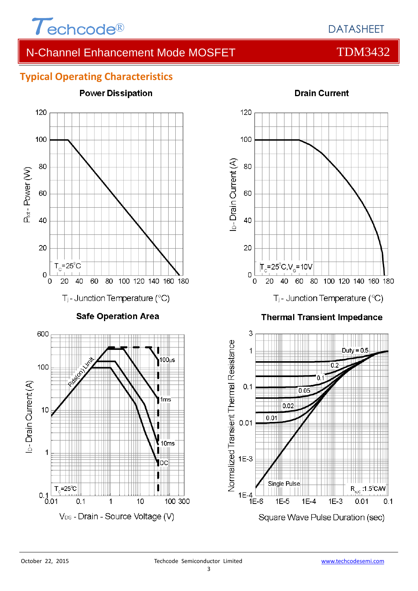

### **Typical Operating Characteristics**





#### **Thermal Transient Impedance**



#### **Drain Current**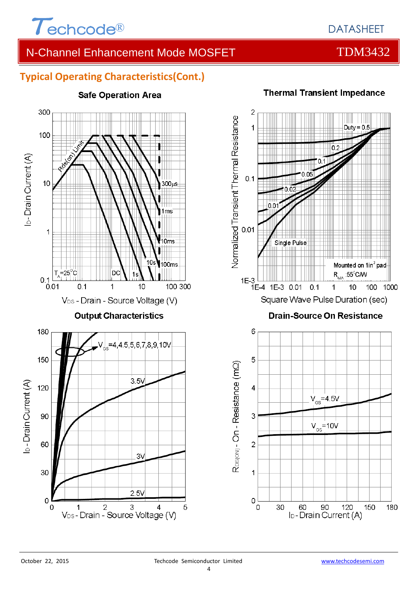

### **Typical Operating Characteristics(Cont.)**



#### **Safe Operation Area**

#### **Thermal Transient Impedance**

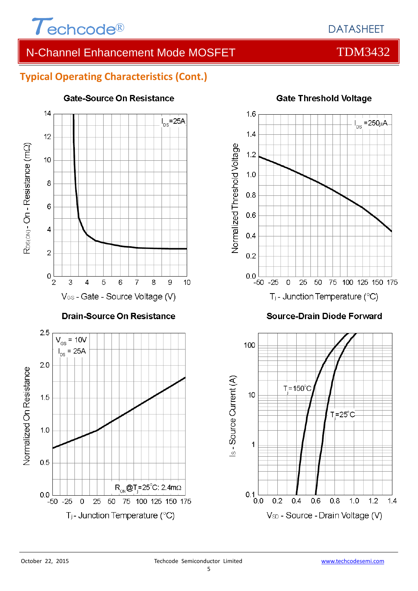

### **Typical Operating Characteristics (Cont.)**



#### **Gate-Source On Resistance**



#### **Source-Drain Diode Forward**

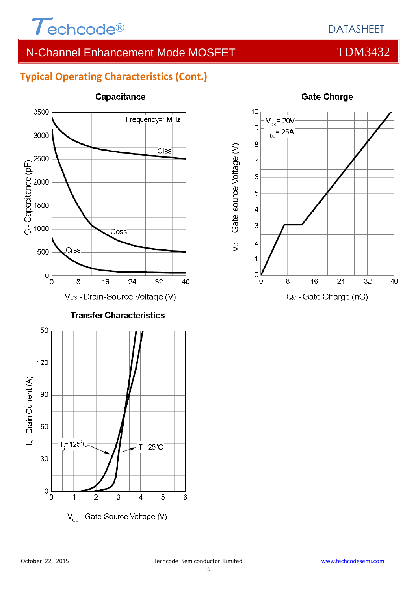

### **Typical Operating Characteristics (Cont.)**



#### **Capacitance**



#### **Gate Charge**

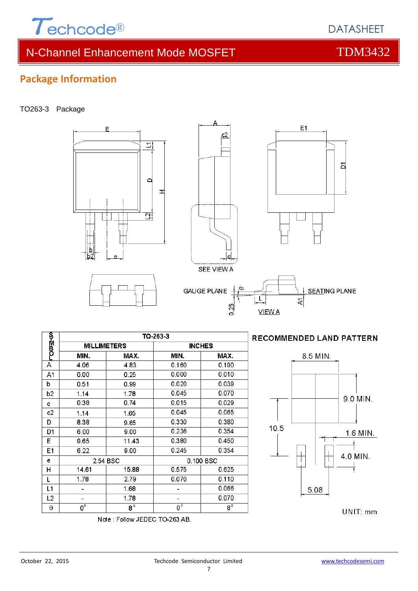

킈

d

과

ᆋ

E

## **Package Information**

#### TO263-3 Package

|                               |                        |           |                                 | 0.25      |  |  |  |  |
|-------------------------------|------------------------|-----------|---------------------------------|-----------|--|--|--|--|
|                               | TO-263-3               |           |                                 |           |  |  |  |  |
| r>⊠<br>Doo                    | <b>MILLIMETERS</b>     |           | <b>INCHES</b>                   |           |  |  |  |  |
|                               | MIN.                   | MAX.      | MIN.                            | MAX.      |  |  |  |  |
| А                             | 4.06                   | 4.83      | 0.160                           | 0.190     |  |  |  |  |
| A1                            | 0.00                   | 0.25      | 0.000                           | 0.010     |  |  |  |  |
| þ                             | 0.51                   | 0.99      | 0.020                           | 0.039     |  |  |  |  |
| b <sub>2</sub>                | 1.14                   | 1.78      | 0.045                           | 0.070     |  |  |  |  |
| c                             | 0.38                   | 0.74      | 0.015                           | 0.029     |  |  |  |  |
| c2                            | 1.14                   | 1.65      | 0.045                           | 0.065     |  |  |  |  |
| D                             | 8.38                   | 9.65      | 0.330                           | 0.380     |  |  |  |  |
| D <sub>1</sub>                | 6.00                   | 9.00      | 0.236                           | 0.354     |  |  |  |  |
| E                             | 9.65                   | 11.43     | 0.380                           | 0.450     |  |  |  |  |
| E1                            | 6.22                   | 9.00      | 0.245                           | 0.354     |  |  |  |  |
| e                             |                        | 2.54 BSC  | 0.100 BSC                       |           |  |  |  |  |
| Н                             | 14.61                  | 15.88     | 0.575                           | 0.625     |  |  |  |  |
| L                             | 1.78                   | 2.79      | 0.070                           | 0.110     |  |  |  |  |
| L1                            | -                      | 1.68      |                                 | 0.066     |  |  |  |  |
| L <sub>2</sub>                | -                      | 1.78      |                                 | 0.070     |  |  |  |  |
| θ                             | $\overline{0^{\circ}}$ | $8^\circ$ | $\mathbf{0}^{\overline{\circ}}$ | $8^\circ$ |  |  |  |  |
| Nota - Callaw IEDEC TO 282 AD |                        |           |                                 |           |  |  |  |  |

Note: Follow JEDEC TO-263 AB.



UNIT: mm



DATASHEET



Δ

8.5 MIN.

RECOMMENDED LAND PATTERN